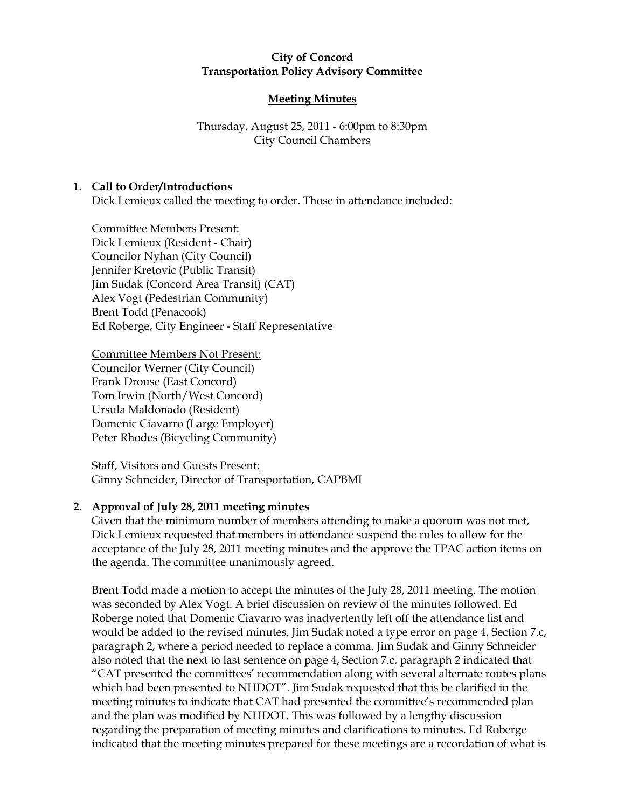#### City of Concord Transportation Policy Advisory Committee

# Meeting Minutes

# Thursday, August 25, 2011 - 6:00pm to 8:30pm City Council Chambers

## 1. Call to Order/Introductions

Dick Lemieux called the meeting to order. Those in attendance included:

Committee Members Present: Dick Lemieux (Resident - Chair) Councilor Nyhan (City Council) Jennifer Kretovic (Public Transit) Jim Sudak (Concord Area Transit) (CAT) Alex Vogt (Pedestrian Community) Brent Todd (Penacook) Ed Roberge, City Engineer - Staff Representative

Committee Members Not Present: Councilor Werner (City Council) Frank Drouse (East Concord) Tom Irwin (North/West Concord) Ursula Maldonado (Resident) Domenic Ciavarro (Large Employer) Peter Rhodes (Bicycling Community)

Staff, Visitors and Guests Present: Ginny Schneider, Director of Transportation, CAPBMI

# 2. Approval of July 28, 2011 meeting minutes

Given that the minimum number of members attending to make a quorum was not met, Dick Lemieux requested that members in attendance suspend the rules to allow for the acceptance of the July 28, 2011 meeting minutes and the approve the TPAC action items on the agenda. The committee unanimously agreed.

Brent Todd made a motion to accept the minutes of the July 28, 2011 meeting. The motion was seconded by Alex Vogt. A brief discussion on review of the minutes followed. Ed Roberge noted that Domenic Ciavarro was inadvertently left off the attendance list and would be added to the revised minutes. Jim Sudak noted a type error on page 4, Section 7.c, paragraph 2, where a period needed to replace a comma. Jim Sudak and Ginny Schneider also noted that the next to last sentence on page 4, Section 7.c, paragraph 2 indicated that "CAT presented the committees' recommendation along with several alternate routes plans which had been presented to NHDOT". Jim Sudak requested that this be clarified in the meeting minutes to indicate that CAT had presented the committee's recommended plan and the plan was modified by NHDOT. This was followed by a lengthy discussion regarding the preparation of meeting minutes and clarifications to minutes. Ed Roberge indicated that the meeting minutes prepared for these meetings are a recordation of what is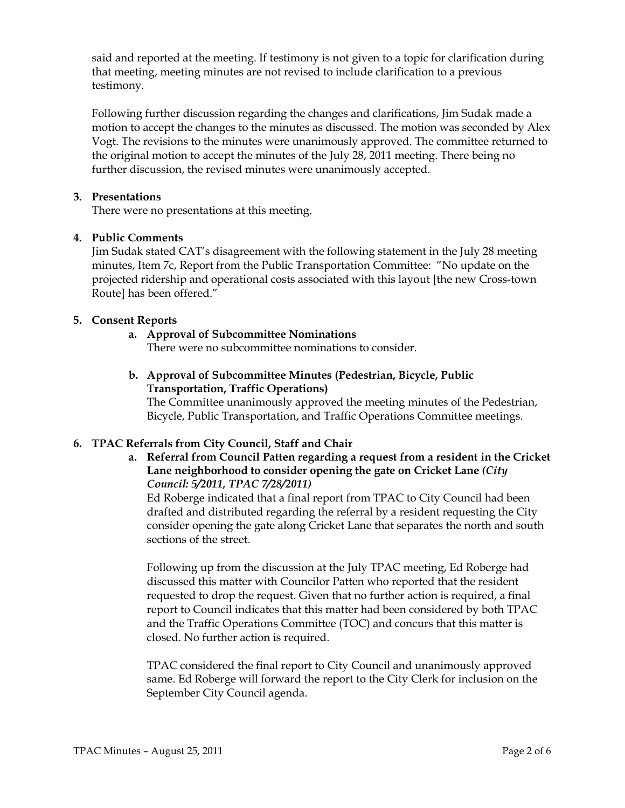said and reported at the meeting. If testimony is not given to a topic for clarification during that meeting, meeting minutes are not revised to include clarification to a previous testimony.

Following further discussion regarding the changes and clarifications, Jim Sudak made a motion to accept the changes to the minutes as discussed. The motion was seconded by Alex Vogt. The revisions to the minutes were unanimously approved. The committee returned to the original motion to accept the minutes of the July 28, 2011 meeting. There being no further discussion, the revised minutes were unanimously accepted.

## 3. Presentations

There were no presentations at this meeting.

#### 4. Public Comments

Jim Sudak stated CAT's disagreement with the following statement in the July 28 meeting minutes, Item 7c, Report from the Public Transportation Committee: "No update on the projected ridership and operational costs associated with this layout [the new Cross-town Route] has been offered."

#### 5. Consent Reports

# a. Approval of Subcommittee Nominations

There were no subcommittee nominations to consider.

# b. Approval of Subcommittee Minutes (Pedestrian, Bicycle, Public Transportation, Traffic Operations)

The Committee unanimously approved the meeting minutes of the Pedestrian, Bicycle, Public Transportation, and Traffic Operations Committee meetings.

## 6. TPAC Referrals from City Council, Staff and Chair

a. Referral from Council Patten regarding a request from a resident in the Cricket Lane neighborhood to consider opening the gate on Cricket Lane (City Council: 5/2011, TPAC 7/28/2011)

Ed Roberge indicated that a final report from TPAC to City Council had been drafted and distributed regarding the referral by a resident requesting the City consider opening the gate along Cricket Lane that separates the north and south sections of the street.

Following up from the discussion at the July TPAC meeting, Ed Roberge had discussed this matter with Councilor Patten who reported that the resident requested to drop the request. Given that no further action is required, a final report to Council indicates that this matter had been considered by both TPAC and the Traffic Operations Committee (TOC) and concurs that this matter is closed. No further action is required.

TPAC considered the final report to City Council and unanimously approved same. Ed Roberge will forward the report to the City Clerk for inclusion on the September City Council agenda.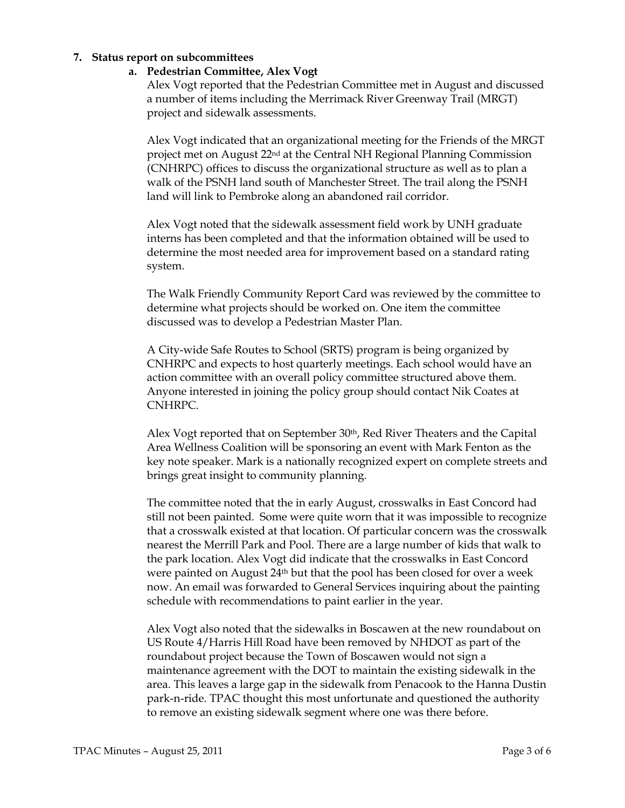#### **7.** Status report on subcommittees

#### a. Pedestrian Committee, Alex Vogt

Alex Vogt reported that the Pedestrian Committee met in August and discussed a number of items including the Merrimack River Greenway Trail (MRGT) project and sidewalk assessments.

Alex Vogt indicated that an organizational meeting for the Friends of the MRGT project met on August 22nd at the Central NH Regional Planning Commission (CNHRPC) offices to discuss the organizational structure as well as to plan a walk of the PSNH land south of Manchester Street. The trail along the PSNH land will link to Pembroke along an abandoned rail corridor.

Alex Vogt noted that the sidewalk assessment field work by UNH graduate interns has been completed and that the information obtained will be used to determine the most needed area for improvement based on a standard rating system.

The Walk Friendly Community Report Card was reviewed by the committee to determine what projects should be worked on. One item the committee discussed was to develop a Pedestrian Master Plan.

A City-wide Safe Routes to School (SRTS) program is being organized by CNHRPC and expects to host quarterly meetings. Each school would have an action committee with an overall policy committee structured above them. Anyone interested in joining the policy group should contact Nik Coates at CNHRPC.

Alex Vogt reported that on September 30<sup>th</sup>, Red River Theaters and the Capital Area Wellness Coalition will be sponsoring an event with Mark Fenton as the key note speaker. Mark is a nationally recognized expert on complete streets and brings great insight to community planning.

The committee noted that the in early August, crosswalks in East Concord had still not been painted. Some were quite worn that it was impossible to recognize that a crosswalk existed at that location. Of particular concern was the crosswalk nearest the Merrill Park and Pool. There are a large number of kids that walk to the park location. Alex Vogt did indicate that the crosswalks in East Concord were painted on August 24th but that the pool has been closed for over a week now. An email was forwarded to General Services inquiring about the painting schedule with recommendations to paint earlier in the year.

Alex Vogt also noted that the sidewalks in Boscawen at the new roundabout on US Route 4/Harris Hill Road have been removed by NHDOT as part of the roundabout project because the Town of Boscawen would not sign a maintenance agreement with the DOT to maintain the existing sidewalk in the area. This leaves a large gap in the sidewalk from Penacook to the Hanna Dustin park-n-ride. TPAC thought this most unfortunate and questioned the authority to remove an existing sidewalk segment where one was there before.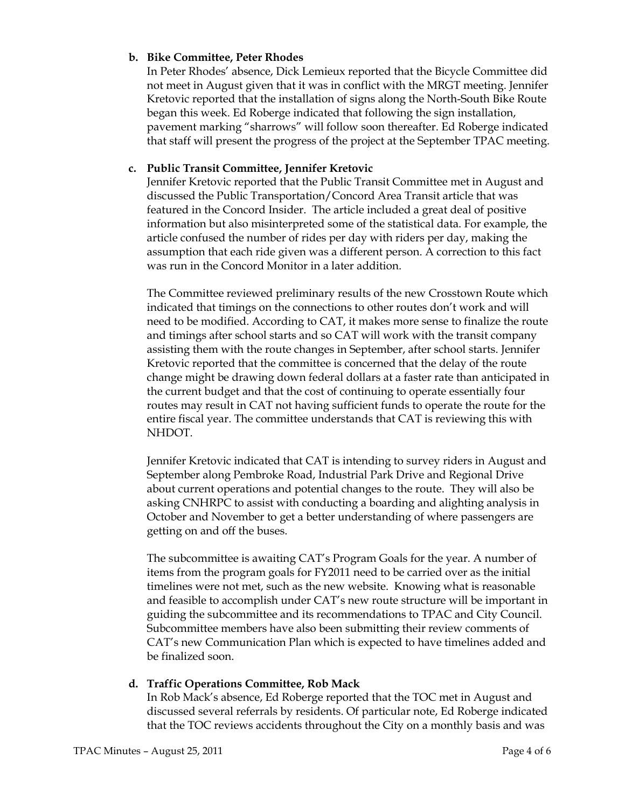#### b. Bike Committee, Peter Rhodes

In Peter Rhodes' absence, Dick Lemieux reported that the Bicycle Committee did not meet in August given that it was in conflict with the MRGT meeting. Jennifer Kretovic reported that the installation of signs along the North-South Bike Route began this week. Ed Roberge indicated that following the sign installation, pavement marking "sharrows" will follow soon thereafter. Ed Roberge indicated that staff will present the progress of the project at the September TPAC meeting.

## c. Public Transit Committee, Jennifer Kretovic

Jennifer Kretovic reported that the Public Transit Committee met in August and discussed the Public Transportation/Concord Area Transit article that was featured in the Concord Insider. The article included a great deal of positive information but also misinterpreted some of the statistical data. For example, the article confused the number of rides per day with riders per day, making the assumption that each ride given was a different person. A correction to this fact was run in the Concord Monitor in a later addition.

The Committee reviewed preliminary results of the new Crosstown Route which indicated that timings on the connections to other routes don't work and will need to be modified. According to CAT, it makes more sense to finalize the route and timings after school starts and so CAT will work with the transit company assisting them with the route changes in September, after school starts. Jennifer Kretovic reported that the committee is concerned that the delay of the route change might be drawing down federal dollars at a faster rate than anticipated in the current budget and that the cost of continuing to operate essentially four routes may result in CAT not having sufficient funds to operate the route for the entire fiscal year. The committee understands that CAT is reviewing this with NHDOT.

Jennifer Kretovic indicated that CAT is intending to survey riders in August and September along Pembroke Road, Industrial Park Drive and Regional Drive about current operations and potential changes to the route. They will also be asking CNHRPC to assist with conducting a boarding and alighting analysis in October and November to get a better understanding of where passengers are getting on and off the buses.

The subcommittee is awaiting CAT's Program Goals for the year. A number of items from the program goals for FY2011 need to be carried over as the initial timelines were not met, such as the new website. Knowing what is reasonable and feasible to accomplish under CAT's new route structure will be important in guiding the subcommittee and its recommendations to TPAC and City Council. Subcommittee members have also been submitting their review comments of CAT's new Communication Plan which is expected to have timelines added and be finalized soon.

## d. Traffic Operations Committee, Rob Mack

In Rob Mack's absence, Ed Roberge reported that the TOC met in August and discussed several referrals by residents. Of particular note, Ed Roberge indicated that the TOC reviews accidents throughout the City on a monthly basis and was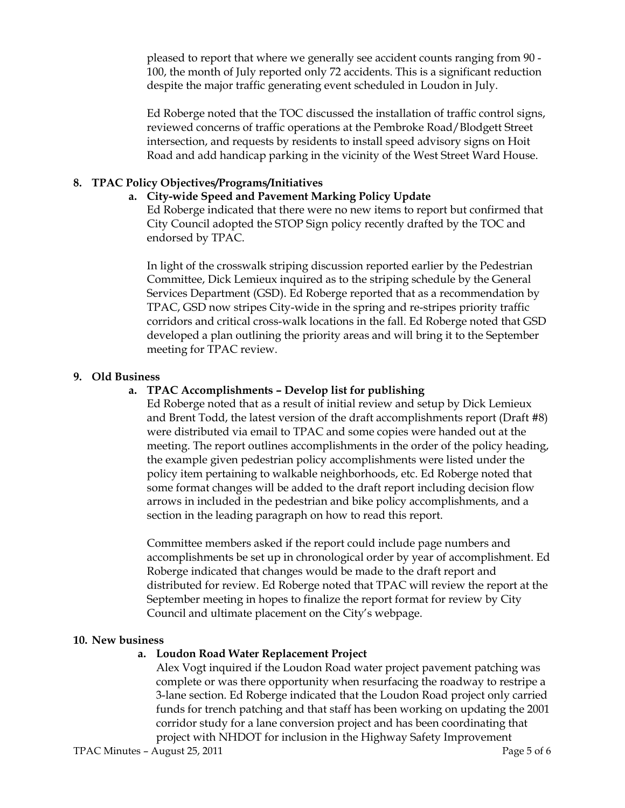pleased to report that where we generally see accident counts ranging from 90 - 100, the month of July reported only 72 accidents. This is a significant reduction despite the major traffic generating event scheduled in Loudon in July.

Ed Roberge noted that the TOC discussed the installation of traffic control signs, reviewed concerns of traffic operations at the Pembroke Road/Blodgett Street intersection, and requests by residents to install speed advisory signs on Hoit Road and add handicap parking in the vicinity of the West Street Ward House.

# 8. TPAC Policy Objectives/Programs/Initiatives

## a. City-wide Speed and Pavement Marking Policy Update

Ed Roberge indicated that there were no new items to report but confirmed that City Council adopted the STOP Sign policy recently drafted by the TOC and endorsed by TPAC.

In light of the crosswalk striping discussion reported earlier by the Pedestrian Committee, Dick Lemieux inquired as to the striping schedule by the General Services Department (GSD). Ed Roberge reported that as a recommendation by TPAC, GSD now stripes City-wide in the spring and re-stripes priority traffic corridors and critical cross-walk locations in the fall. Ed Roberge noted that GSD developed a plan outlining the priority areas and will bring it to the September meeting for TPAC review.

## 9. Old Business

## a. TPAC Accomplishments – Develop list for publishing

Ed Roberge noted that as a result of initial review and setup by Dick Lemieux and Brent Todd, the latest version of the draft accomplishments report (Draft #8) were distributed via email to TPAC and some copies were handed out at the meeting. The report outlines accomplishments in the order of the policy heading, the example given pedestrian policy accomplishments were listed under the policy item pertaining to walkable neighborhoods, etc. Ed Roberge noted that some format changes will be added to the draft report including decision flow arrows in included in the pedestrian and bike policy accomplishments, and a section in the leading paragraph on how to read this report.

Committee members asked if the report could include page numbers and accomplishments be set up in chronological order by year of accomplishment. Ed Roberge indicated that changes would be made to the draft report and distributed for review. Ed Roberge noted that TPAC will review the report at the September meeting in hopes to finalize the report format for review by City Council and ultimate placement on the City's webpage.

#### 10. New business

## a. Loudon Road Water Replacement Project

Alex Vogt inquired if the Loudon Road water project pavement patching was complete or was there opportunity when resurfacing the roadway to restripe a 3-lane section. Ed Roberge indicated that the Loudon Road project only carried funds for trench patching and that staff has been working on updating the 2001 corridor study for a lane conversion project and has been coordinating that project with NHDOT for inclusion in the Highway Safety Improvement